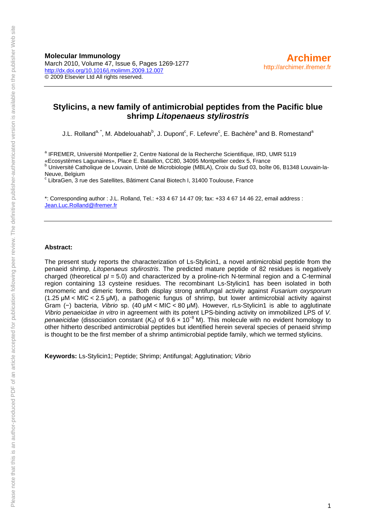**Molecular Immunology**  March 2010, Volume 47, Issue 6, Pages 1269-1277 <http://dx.doi.org/10.1016/j.molimm.2009.12.007> © 2009 Elsevier Ltd All rights reserved.

## **Stylicins, a new family of antimicrobial peptides from the Pacific blue shrimp** *Litopenaeus stylirostris*

J.L. Rolland<sup>a, \*</sup>, M. Abdelouahab<sup>b</sup>, J. Dupont<sup>c</sup>, F. Lefevre<sup>c</sup>, E. Bachère<sup>a</sup> and B. Romestand<sup>a</sup>

<sup>a</sup> IFREMER, Université Montpellier 2, Centre National de la Recherche Scientifique, IRD, UMR 5119 «Ecosystèmes Lagunaires», Place E. Bataillon, CC80, 34095 Montpellier cedex 5, France b

 Université Catholique de Louvain, Unité de Microbiologie (MBLA), Croix du Sud 03, boîte 06, B1348 Louvain-la-Neuve, Belgium

c LibraGen, 3 rue des Satellites, Bâtiment Canal Biotech I, 31400 Toulouse, France

\*: Corresponding author : J.L. Rolland, Tel.: +33 4 67 14 47 09; fax: +33 4 67 14 46 22, email address : [Jean.Luc.Rolland@ifremer.fr](mailto:Jean.Luc.Rolland@ifremer.fr)

### **Abstract:**

The present study reports the characterization of Ls-Stylicin1, a novel antimicrobial peptide from the penaeid shrimp, *Litopenaeus stylirostris*. The predicted mature peptide of 82 residues is negatively charged (theoretical p*I* = 5.0) and characterized by a proline-rich N-terminal region and a C-terminal region containing 13 cysteine residues. The recombinant Ls-Stylicin1 has been isolated in both monomeric and dimeric forms. Both display strong antifungal activity against *Fusarium oxysporum* (1.25 μM < MIC < 2.5 μM), a pathogenic fungus of shrimp, but lower antimicrobial activity against Gram (−) bacteria, *Vibrio* sp. (40 μM < MIC < 80 μM). However, rLs-Stylicin1 is able to agglutinate *Vibrio penaeicidae in vitro* in agreement with its potent LPS-binding activity on immobilized LPS of *V. penaeicidae* (dissociation constant (K<sub>d</sub>) of 9.6 x 10<sup>-8</sup> M). This molecule with no evident homology to other hitherto described antimicrobial peptides but identified herein several species of penaeid shrimp is thought to be the first member of a shrimp antimicrobial peptide family, which we termed stylicins.

**Keywords:** Ls-Stylicin1; Peptide; Shrimp; Antifungal; Agglutination; *Vibrio*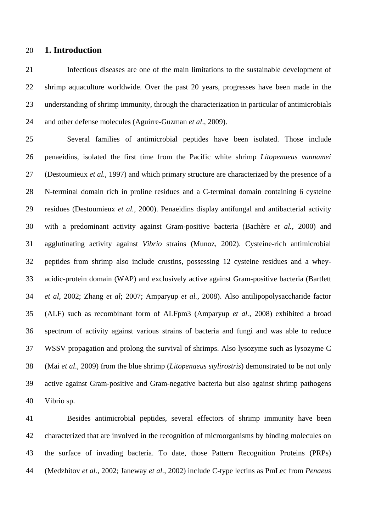### 20 **1. Introduction**

21 22 23 24 Infectious diseases are one of the main limitations to the sustainable development of shrimp aquaculture worldwide. Over the past 20 years, progresses have been made in the understanding of shrimp immunity, through the characterization in particular of antimicrobials and other defense molecules (Aguirre-Guzman *et al*., 2009).

25 26 27 28 29 30 31 32 33 34 35 36 37 38 39 40 Several families of antimicrobial peptides have been isolated. Those include penaeidins, isolated the first time from the Pacific white shrimp *Litopenaeus vannamei* (Destoumieux *et al.*, 1997) and which primary structure are characterized by the presence of a N-terminal domain rich in proline residues and a C-terminal domain containing 6 cysteine residues (Destoumieux *et al.*, 2000). Penaeidins display antifungal and antibacterial activity with a predominant activity against Gram-positive bacteria (Bachère *et al.*, 2000) and agglutinating activity against *Vibrio* strains (Munoz, 2002). Cysteine-rich antimicrobial peptides from shrimp also include crustins, possessing 12 cysteine residues and a wheyacidic-protein domain (WAP) and exclusively active against Gram-positive bacteria (Bartlett *et al*, 2002; Zhang *et al*; 2007; Amparyup *et al.*, 2008). Also antilipopolysaccharide factor (ALF) such as recombinant form of ALFpm3 (Amparyup *et al.*, 2008) exhibited a broad spectrum of activity against various strains of bacteria and fungi and was able to reduce WSSV propagation and prolong the survival of shrimps. Also lysozyme such as lysozyme C (Mai *et al*., 2009) from the blue shrimp (*Litopenaeus stylirostris*) demonstrated to be not only active against Gram-positive and Gram-negative bacteria but also against shrimp pathogens Vibrio sp.

41 42 43 44 Besides antimicrobial peptides, several effectors of shrimp immunity have been characterized that are involved in the recognition of microorganisms by binding molecules on the surface of invading bacteria. To date, those Pattern Recognition Proteins (PRPs) (Medzhitov *et al.*, 2002; Janeway *et al.*, 2002) include C-type lectins as PmLec from *Penaeus*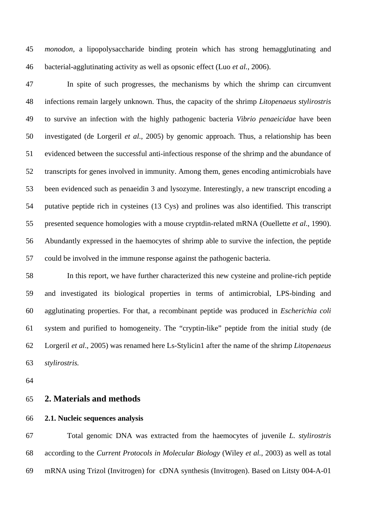*monodon,* a lipopolysaccharide binding protein which has strong hemagglutinating and bacterial-agglutinating activity as well as opsonic effect (Luo *et al.*, 2006). 45 46

47 48 49 50 51 52 53 54 55 56 57 In spite of such progresses, the mechanisms by which the shrimp can circumvent infections remain largely unknown. Thus, the capacity of the shrimp *Litopenaeus stylirostris* to survive an infection with the highly pathogenic bacteria *Vibrio penaeicidae* have been investigated (de Lorgeril *et al*.*,* 2005) by genomic approach. Thus, a relationship has been evidenced between the successful anti-infectious response of the shrimp and the abundance of transcripts for genes involved in immunity. Among them, genes encoding antimicrobials have been evidenced such as penaeidin 3 and lysozyme. Interestingly, a new transcript encoding a putative peptide rich in cysteines (13 Cys) and prolines was also identified. This transcript presented sequence homologies with a mouse cryptdin-related mRNA (Ouellette *et al*., 1990). Abundantly expressed in the haemocytes of shrimp able to survive the infection, the peptide could be involved in the immune response against the pathogenic bacteria.

58 59 60 61 62 63 In this report, we have further characterized this new cysteine and proline-rich peptide and investigated its biological properties in terms of antimicrobial, LPS-binding and agglutinating properties. For that, a recombinant peptide was produced in *Escherichia coli* system and purified to homogeneity. The "cryptin-like" peptide from the initial study (de Lorgeril *et al*.*,* 2005) was renamed here Ls-Stylicin1 after the name of the shrimp *Litopenaeus stylirostris.*

64

#### 65 **2. Materials and methods**

#### 66 **2.1. Nucleic sequences analysis**

67 68 69 Total genomic DNA was extracted from the haemocytes of juvenile *L. stylirostris* according to the *Current Protocols in Molecular Biology* (Wiley *et al.*, 2003) as well as total mRNA using Trizol (Invitrogen) for cDNA synthesis (Invitrogen). Based on Litsty 004-A-01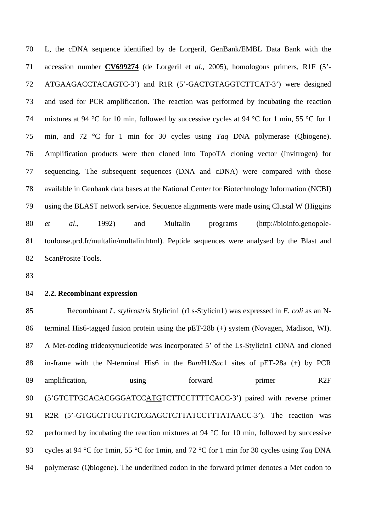L, the cDNA sequence identified by de Lorgeril, GenBank/EMBL Data Bank with the accession number **CV699274** (de Lorgeril et *al.,* 2005), homologous primers, R1F (5'- 70 ATGAAGACCTACAGTC-3') and R1R (5'-GACTGTAGGTCTTCAT-3') were designed and used for PCR amplification. The reaction was performed by incubating the reaction mixtures at 94 °C for 10 min, followed by successive cycles at 94 °C for 1 min, 55 °C for 1 min, and 72 °C for 1 min for 30 cycles using *Taq* DNA polymerase (Qbiogene). Amplification products were then cloned into TopoTA cloning vector (Invitrogen) for sequencing. The subsequent sequences (DNA and cDNA) were compared with those available in Genbank data bases at the National Center for Biotechnology Information (NCBI) using the BLAST network service. Sequence alignments were made using Clustal W (Higgins *et al*., 1992) and Multalin programs (http://bioinfo.genopoletoulouse.prd.fr/multalin/multalin.html). Peptide sequences were analysed by the Blast and ScanProsite Tools. 71 72 73 74 75 76 77 78 79 80 81 82

83

#### 84 **2.2. Recombinant expression**

85 86 87 88 89 Recombinant *L. stylirostris* Stylicin1 (rLs-Stylicin1) was expressed in *E. coli* as an Nterminal His6-tagged fusion protein using the pET-28b (+) system (Novagen, Madison, WI). A Met-coding trideoxynucleotide was incorporated 5' of the Ls-Stylicin1 cDNA and cloned in-frame with the N-terminal His6 in the *Bam*H1*/Sac*1 sites of pET-28a (+) by PCR amplification, using forward primer R2F (5'GTCTTGCACACGGGATCCATGTCTTCCTTTTCACC-3') paired with reverse primer R2R (5'-GTGGCTTCGTTCTCGAGCTCTTATCCTTTATAACC-3'). The reaction was performed by incubating the reaction mixtures at 94 °C for 10 min, followed by successive cycles at 94 °C for 1min, 55 °C for 1min, and 72 °C for 1 min for 30 cycles using *Taq* DNA polymerase (Qbiogene). The underlined codon in the forward primer denotes a Met codon to 90 91 92 93 94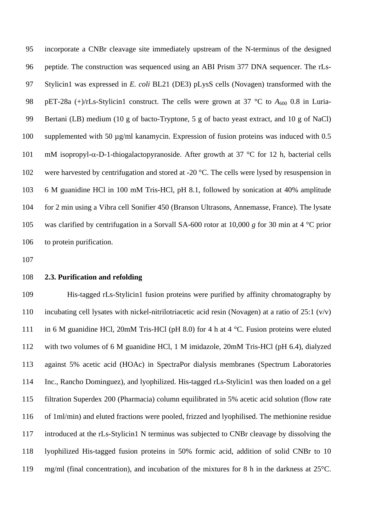incorporate a CNBr cleavage site immediately upstream of the N-terminus of the designed peptide. The construction was sequenced using an ABI Prism 377 DNA sequencer. The rLs-Stylicin1 was expressed in *E. coli* BL21 (DE3) pLysS cells (Novagen) transformed with the pET-28a (+)/rLs-Stylicin1 construct. The cells were grown at 37 °C to  $A_{600}$  0.8 in Luria-Bertani (LB) medium (10 g of bacto-Tryptone, 5 g of bacto yeast extract, and 10 g of NaCl) supplemented with 50 ug/ml kanamycin. Expression of fusion proteins was induced with 0.5 mM isopropyl-α-D-1-thiogalactopyranoside. After growth at 37 °C for 12 h, bacterial cells were harvested by centrifugation and stored at -20 °C. The cells were lysed by resuspension in 6 M guanidine HCl in 100 mM Tris-HCl, pH 8.1, followed by sonication at 40% amplitude for 2 min using a Vibra cell Sonifier 450 (Branson Ultrasons, Annemasse, France). The lysate was clarified by centrifugation in a Sorvall SA-600 rotor at 10,000 *g* for 30 min at 4 °C prior to protein purification. 95 96 97 98 99 100 101 102 103 104 105 106

107

#### 108 **2.3. Purification and refolding**

109 110 111 112 113 114 115 116 117 118 119 His-tagged rLs-Stylicin1 fusion proteins were purified by affinity chromatography by incubating cell lysates with nickel-nitrilotriacetic acid resin (Novagen) at a ratio of 25:1 (v/v) in 6 M guanidine HCl, 20mM Tris-HCl (pH 8.0) for 4 h at 4 °C. Fusion proteins were eluted with two volumes of 6 M guanidine HCl, 1 M imidazole, 20mM Tris-HCl (pH 6.4), dialyzed against 5% acetic acid (HOAc) in SpectraPor dialysis membranes (Spectrum Laboratories Inc., Rancho Dominguez), and lyophilized. His-tagged rLs-Stylicin1 was then loaded on a gel filtration Superdex 200 (Pharmacia) column equilibrated in 5% acetic acid solution (flow rate of 1ml/min) and eluted fractions were pooled, frizzed and lyophilised. The methionine residue introduced at the rLs-Stylicin1 N terminus was subjected to CNBr cleavage by dissolving the lyophilized His-tagged fusion proteins in 50% formic acid, addition of solid CNBr to 10 mg/ml (final concentration), and incubation of the mixtures for 8 h in the darkness at 25°C.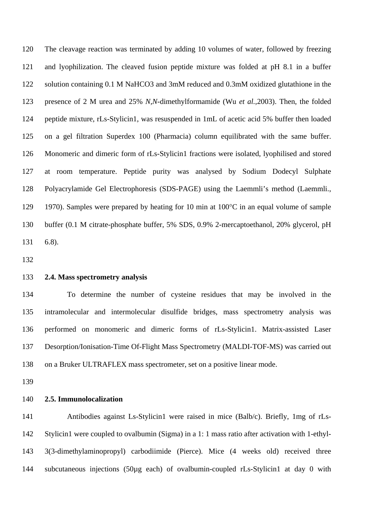The cleavage reaction was terminated by adding 10 volumes of water, followed by freezing and lyophilization. The cleaved fusion peptide mixture was folded at pH 8.1 in a buffer solution containing 0.1 M NaHCO3 and 3mM reduced and 0.3mM oxidized glutathione in the presence of 2 M urea and 25% *N*,*N*-dimethylformamide (Wu *et al.*,2003). Then, the folded peptide mixture, rLs-Stylicin1, was resuspended in 1mL of acetic acid 5% buffer then loaded on a gel filtration Superdex 100 (Pharmacia) column equilibrated with the same buffer. Monomeric and dimeric form of rLs-Stylicin1 fractions were isolated, lyophilised and stored at room temperature. Peptide purity was analysed by Sodium Dodecyl Sulphate Polyacrylamide Gel Electrophoresis (SDS-PAGE) using the Laemmli's method (Laemmli., 1970). Samples were prepared by heating for 10 min at 100°C in an equal volume of sample buffer (0.1 M citrate-phosphate buffer, 5% SDS, 0.9% 2-mercaptoethanol, 20% glycerol, pH 6.8). 120 121 122 123 124 125 126 127 128 129 130 131

132

#### 133 **2.4. Mass spectrometry analysis**

134 135 136 137 138 To determine the number of cysteine residues that may be involved in the intramolecular and intermolecular disulfide bridges, mass spectrometry analysis was performed on monomeric and dimeric forms of rLs-Stylicin1. Matrix-assisted Laser Desorption/Ionisation-Time Of-Flight Mass Spectrometry (MALDI-TOF-MS) was carried out on a Bruker ULTRAFLEX mass spectrometer, set on a positive linear mode.

139

#### 140 **2.5. Immunolocalization**

141 142 143 144 Antibodies against Ls-Stylicin1 were raised in mice (Balb/c). Briefly, 1mg of rLs-Stylicin1 were coupled to ovalbumin (Sigma) in a 1: 1 mass ratio after activation with 1-ethyl-3(3-dimethylaminopropyl) carbodiimide (Pierce). Mice (4 weeks old) received three subcutaneous injections (50µg each) of ovalbumin-coupled rLs-Stylicin1 at day 0 with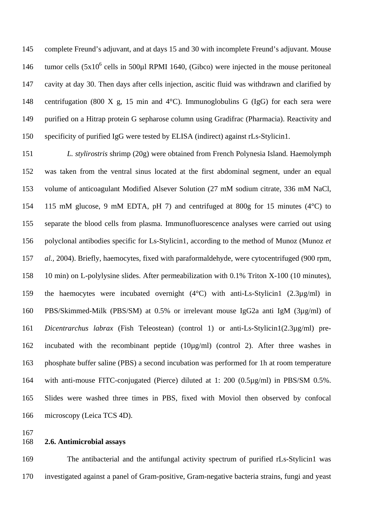complete Freund's adjuvant, and at days 15 and 30 with incomplete Freund's adjuvant. Mouse tumor cells  $(5x10^6 \text{ cells in } 500 \mu$ l RPMI 1640, (Gibco) were injected in the mouse peritoneal cavity at day 30. Then days after cells injection, ascitic fluid was withdrawn and clarified by centrifugation (800 X g, 15 min and  $4^{\circ}$ C). Immunoglobulins G (IgG) for each sera were purified on a Hitrap protein G sepharose column using Gradifrac (Pharmacia). Reactivity and specificity of purified IgG were tested by ELISA (indirect) against rLs-Stylicin1. 145 146 147 148 149 150

151 152 153 154 155 156 157 158 159 160 161 162 163 164 165 166 *L. stylirostris* shrimp (20g) were obtained from French Polynesia Island. Haemolymph was taken from the ventral sinus located at the first abdominal segment, under an equal volume of anticoagulant Modified Alsever Solution (27 mM sodium citrate, 336 mM NaCl, 115 mM glucose, 9 mM EDTA, pH 7) and centrifuged at 800g for 15 minutes ( $4^{\circ}$ C) to separate the blood cells from plasma. Immunofluorescence analyses were carried out using polyclonal antibodies specific for Ls-Stylicin1, according to the method of Munoz (Munoz *et al.,* 2004). Briefly, haemocytes, fixed with paraformaldehyde, were cytocentrifuged (900 rpm, 10 min) on L-polylysine slides. After permeabilization with 0.1% Triton X-100 (10 minutes), the haemocytes were incubated overnight  $(4^{\circ}C)$  with anti-Ls-Stylicin1  $(2.3\mu g/ml)$  in PBS/Skimmed-Milk (PBS/SM) at 0.5% or irrelevant mouse IgG2a anti IgM (3µg/ml) of *Dicentrarchus labrax* (Fish Teleostean) (control 1) or anti-Ls-Stylicin1(2.3µg/ml) preincubated with the recombinant peptide  $(10\mu g/ml)$  (control 2). After three washes in phosphate buffer saline (PBS) a second incubation was performed for 1h at room temperature with anti-mouse FITC-conjugated (Pierce) diluted at 1: 200 (0.5µg/ml) in PBS/SM 0.5%. Slides were washed three times in PBS, fixed with Moviol then observed by confocal microscopy (Leica TCS 4D).

167

#### 168 **2.6. Antimicrobial assays**

169 170 The antibacterial and the antifungal activity spectrum of purified rLs-Stylicin1 was investigated against a panel of Gram-positive, Gram-negative bacteria strains, fungi and yeast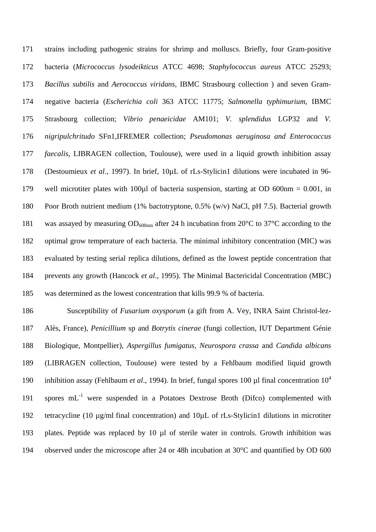strains including pathogenic strains for shrimp and molluscs. Briefly, four Gram-positive bacteria (*Micrococcus lysodeikticus* ATCC 4698; *Staphylococcus aureus* ATCC 25293; *Bacillus subtilis* and *Aerococcus viridans*, IBMC Strasbourg collection ) and seven Gramnegative bacteria (*Escherichia coli* 363 ATCC 11775; *Salmonella typhimurium,* IBMC Strasbourg collection; *Vibrio penaeicidae* AM101; *V. splendidus* LGP32 and *V. nigripulchritudo* SFn1,IFREMER collection; *Pseudomonas aeruginosa and Enterococcus faecalis*, LIBRAGEN collection, Toulouse), were used in a liquid growth inhibition assay (Destoumieux *et al*., 1997). In brief, 10µL of rLs-Stylicin1 dilutions were incubated in 96 well microtiter plates with 100 $\mu$ l of bacteria suspension, starting at OD 600 $\mu$ m = 0.001, in Poor Broth nutrient medium (1% bactotryptone, 0.5% (w/v) NaCl, pH 7.5). Bacterial growth was assayed by measuring  $OD_{600nm}$  after 24 h incubation from 20 $^{\circ}$ C to 37 $^{\circ}$ C according to the optimal grow temperature of each bacteria. The minimal inhibitory concentration (MIC) was evaluated by testing serial replica dilutions, defined as the lowest peptide concentration that prevents any growth (Hancock *et al*., 1995). The Minimal Bactericidal Concentration (MBC) was determined as the lowest concentration that kills 99.9 % of bacteria. 171 172 173 174 175 176 177 178 179 180 181 182 183 184 185

186 187 188 189 190 191 192 193 194 Susceptibility of *Fusarium oxysporum* (a gift from A. Vey, INRA Saint Christol-lez-Alès, France), *Penicillium* sp and *Botrytis cinerae* (fungi collection, IUT Department Génie Biologique, Montpellier)*, Aspergillus fumigatus, Neurospora crassa* and *Candida albicans*  (LIBRAGEN collection, Toulouse) were tested by a Fehlbaum modified liquid growth inhibition assay (Fehlbaum *et al.*, 1994). In brief, fungal spores 100 µl final concentration  $10^4$ spores  $mL^{-1}$  were suspended in a Potatoes Dextrose Broth (Difco) complemented with tetracycline (10 µg/ml final concentration) and 10µL of rLs-Stylicin1 dilutions in microtiter plates. Peptide was replaced by 10 µl of sterile water in controls. Growth inhibition was observed under the microscope after 24 or 48h incubation at 30°C and quantified by OD 600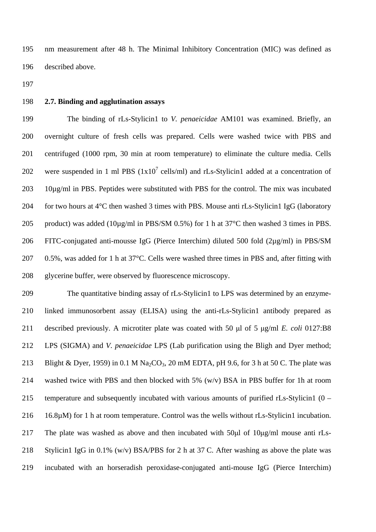nm measurement after 48 h. The Minimal Inhibitory Concentration (MIC) was defined as described above. 195 196

197

#### 198 **2.7. Binding and agglutination assays**

199 200 201 202 203 204 205 206 207 208 The binding of rLs-Stylicin1 to *V. penaeicidae* AM101 was examined. Briefly, an overnight culture of fresh cells was prepared. Cells were washed twice with PBS and centrifuged (1000 rpm, 30 min at room temperature) to eliminate the culture media. Cells were suspended in 1 ml PBS  $(1x10^7 \text{ cells/ml})$  and rLs-Stylicin1 added at a concentration of 10µg/ml in PBS. Peptides were substituted with PBS for the control. The mix was incubated for two hours at 4<sup>o</sup>C then washed 3 times with PBS. Mouse anti rLs-Stylicin1 IgG (laboratory product) was added (10µg/ml in PBS/SM 0.5%) for 1 h at 37°C then washed 3 times in PBS. FITC-conjugated anti-mousse IgG (Pierce Interchim) diluted 500 fold (2µg/ml) in PBS/SM 0.5%, was added for 1 h at 37°C. Cells were washed three times in PBS and, after fitting with glycerine buffer, were observed by fluorescence microscopy.

209 210 211 212 213 214 215 216 217 218 219 The quantitative binding assay of rLs-Stylicin1 to LPS was determined by an enzymelinked immunosorbent assay (ELISA) using the anti-rLs-Stylicin1 antibody prepared as described previously. A microtiter plate was coated with 50 μl of 5 μg/ml *E. coli* 0127:B8 LPS (SIGMA) and *V. penaeicidae* LPS (Lab purification using the Bligh and Dyer method; Blight & Dyer, 1959) in 0.1 M Na<sub>2</sub>CO<sub>3</sub>, 20 mM EDTA, pH 9.6, for 3 h at 50 C. The plate was washed twice with PBS and then blocked with 5% (w/v) BSA in PBS buffer for 1h at room temperature and subsequently incubated with various amounts of purified rLs-Stylicin1 (0 – 16.8µM) for 1 h at room temperature. Control was the wells without rLs-Stylicin1 incubation. The plate was washed as above and then incubated with 50μl of 10μg/ml mouse anti rLs-Stylicin1 IgG in 0.1% (w/v) BSA/PBS for 2 h at 37 C. After washing as above the plate was incubated with an horseradish peroxidase-conjugated anti-mouse IgG (Pierce Interchim)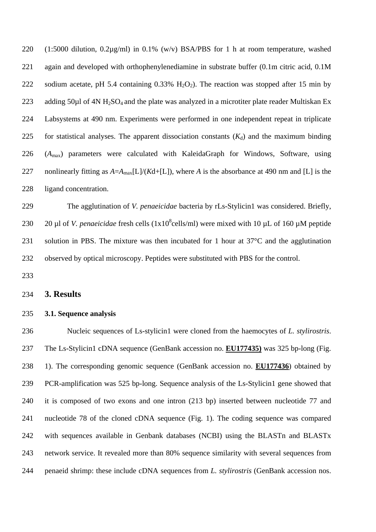(1:5000 dilution, 0.2µg/ml) in 0.1% (w/v) BSA/PBS for 1 h at room temperature, washed again and developed with orthophenylenediamine in substrate buffer (0.1m citric acid, 0.1M sodium acetate, pH 5.4 containing 0.33% H<sub>2</sub>O<sub>2</sub>). The reaction was stopped after 15 min by adding  $50\mu$ l of  $4N H_2SO_4$  and the plate was analyzed in a microtiter plate reader Multiskan Ex Labsystems at 490 nm. Experiments were performed in one independent repeat in triplicate for statistical analyses. The apparent dissociation constants  $(K_d)$  and the maximum binding (*A*max) parameters were calculated with KaleidaGraph for Windows, Software, using nonlinearly fitting as  $A = A_{\text{max}}[L]/(Kd + [L])$ , where *A* is the absorbance at 490 nm and [L] is the ligand concentration. 220 221 222 223 224 225 226 227 228

229 230 231 232 The agglutination of *V. penaeicidae* bacteria by rLs-Stylicin1 was considered. Briefly, 20 µl of *V. penaeicidae* fresh cells  $(1x10<sup>8</sup>$ cells/ml) were mixed with 10 µL of 160 µM peptide solution in PBS. The mixture was then incubated for 1 hour at 37°C and the agglutination observed by optical microscopy. Peptides were substituted with PBS for the control.

233

#### 234 **3. Results**

#### 235 **3.1. Sequence analysis**

236 Nucleic sequences of Ls-stylicin1 were cloned from the haemocytes of *L. stylirostris*. The Ls-Stylicin1 cDNA sequence (GenBank accession no. **EU177435)** was 325 bp-long (Fig. 1). The corresponding genomic sequence (GenBank accession no. **EU177436**) obtained by 237 PCR-amplification was 525 bp-long. Sequence analysis of the Ls-Stylicin1 gene showed that it is composed of two exons and one intron (213 bp) inserted between nucleotide 77 and nucleotide 78 of the cloned cDNA sequence (Fig. 1). The coding sequence was compared with sequences available in Genbank databases (NCBI) using the BLASTn and BLASTx network service. It revealed more than 80% sequence similarity with several sequences from penaeid shrimp: these include cDNA sequences from *L. stylirostris* (GenBank accession nos. 238 239 240 241 242 243 244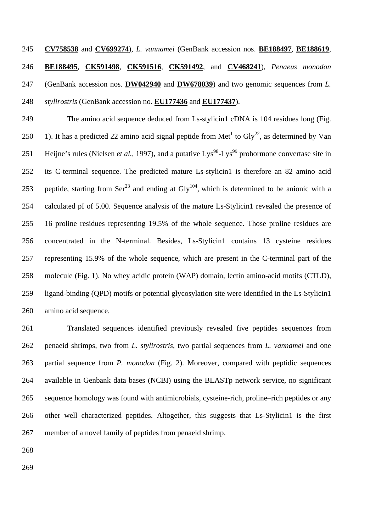245 **CV758538** and **CV699274**), *L. vannamei* (GenBank accession nos. **BE188497**, **BE188619**, **BE188495**, **CK591498**, **CK591516**, **CK591492**, and **CV468241**), *Penaeus monodon* (GenBank accession nos. **DW042940** and **DW678039**) and two genomic sequences from *L.*  246 *stylirostris* (GenBank accession no. 248 **EU177436** and **EU177437**). 247

249 250 251 252 253 254 255 256 257 258 259 260 The amino acid sequence deduced from Ls-stylicin1 cDNA is 104 residues long (Fig. 1). It has a predicted 22 amino acid signal peptide from Met<sup>1</sup> to Gly<sup>22</sup>, as determined by Van Heijne's rules (Nielsen *et al.*, 1997), and a putative Lys<sup>98</sup>-Lys<sup>99</sup> prohormone convertase site in its C-terminal sequence. The predicted mature Ls-stylicin1 is therefore an 82 amino acid peptide, starting from  $\text{Ser}^{23}$  and ending at  $\text{Gly}^{104}$ , which is determined to be anionic with a calculated pI of 5.00. Sequence analysis of the mature Ls-Stylicin1 revealed the presence of 16 proline residues representing 19.5% of the whole sequence. Those proline residues are concentrated in the N-terminal. Besides, Ls-Stylicin1 contains 13 cysteine residues representing 15.9% of the whole sequence, which are present in the C-terminal part of the molecule (Fig. 1). No whey acidic protein (WAP) domain, lectin amino-acid motifs (CTLD), ligand-binding (QPD) motifs or potential glycosylation site were identified in the Ls-Stylicin1 amino acid sequence.

261 262 263 264 265 266 267 Translated sequences identified previously revealed five peptides sequences from penaeid shrimps, two from *L. stylirostris*, two partial sequences from *L. vannamei* and one partial sequence from *P. monodon* (Fig. 2). Moreover, compared with peptidic sequences available in Genbank data bases (NCBI) using the BLASTp network service, no significant sequence homology was found with antimicrobials, cysteine-rich, proline–rich peptides or any other well characterized peptides. Altogether, this suggests that Ls-Stylicin1 is the first member of a novel family of peptides from penaeid shrimp.

268

269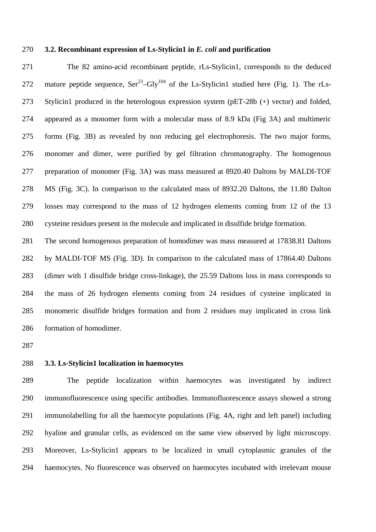### 270 **3.2. Recombinant expression of Ls-Stylicin1 in** *E. coli* **and purification**

271 272 273 274 275 276 277 278 279 280 The 82 amino-acid recombinant peptide, rLs-Stylicin1, corresponds to the deduced mature peptide sequence,  $\text{Ser}^{23}$ -Gly<sup>104</sup> of the Ls-Stylicin1 studied here (Fig. 1). The rLs-Stylicin1 produced in the heterologous expression system (pET-28b (+) vector) and folded, appeared as a monomer form with a molecular mass of 8.9 kDa (Fig 3A) and multimeric forms (Fig. 3B) as revealed by non reducing gel electrophoresis. The two major forms, monomer and dimer, were purified by gel filtration chromatography. The homogenous preparation of monomer (Fig. 3A) was mass measured at 8920.40 Daltons by MALDI-TOF MS (Fig. 3C). In comparison to the calculated mass of 8932.20 Daltons, the 11.80 Dalton losses may correspond to the mass of 12 hydrogen elements coming from 12 of the 13 cysteine residues present in the molecule and implicated in disulfide bridge formation.

281 282 283 284 285 286 The second homogenous preparation of homodimer was mass measured at 17838.81 Daltons by MALDI-TOF MS (Fig. 3D). In comparison to the calculated mass of 17864.40 Daltons (dimer with 1 disulfide bridge cross-linkage), the 25.59 Daltons loss in mass corresponds to the mass of 26 hydrogen elements coming from 24 residues of cysteine implicated in monomeric disulfide bridges formation and from 2 residues may implicated in cross link formation of homodimer.

287

#### 288 **3.3. Ls-Stylicin1 localization in haemocytes**

289 290 291 292 293 294 The peptide localization within haemocytes was investigated by indirect immunofluorescence using specific antibodies. Immunofluorescence assays showed a strong immunolabelling for all the haemocyte populations (Fig. 4A, right and left panel) including hyaline and granular cells, as evidenced on the same view observed by light microscopy. Moreover, Ls-Stylicin1 appears to be localized in small cytoplasmic granules of the haemocytes. No fluorescence was observed on haemocytes incubated with irrelevant mouse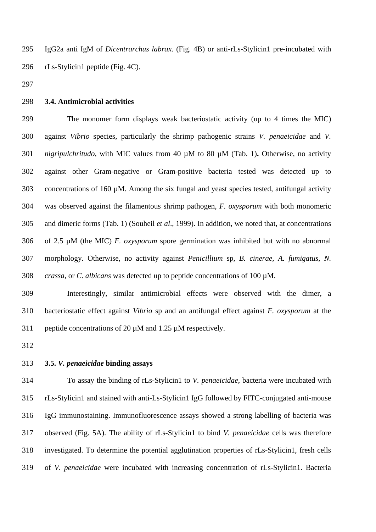IgG2a anti IgM of *Dicentrarchus labrax*. (Fig. 4B) or anti-rLs-Stylicin1 pre-incubated with rLs-Stylicin1 peptide (Fig. 4C). 295 296

297

#### 298 **3.4. Antimicrobial activities**

299 300 301 302 303 304 305 306 307 308 The monomer form displays weak bacteriostatic activity (up to 4 times the MIC) against *Vibrio* species, particularly the shrimp pathogenic strains *V. penaeicidae* and *V. nigripulchritudo,* with MIC values from 40 µM to 80 µM (Tab. 1)**.** Otherwise, no activity against other Gram-negative or Gram-positive bacteria tested was detected up to concentrations of 160  $\mu$ M. Among the six fungal and yeast species tested, antifungal activity was observed against the filamentous shrimp pathogen, *F. oxysporum* with both monomeric and dimeric forms (Tab. 1) (Souheil *et al*., 1999). In addition, we noted that, at concentrations of 2.5 µM (the MIC) *F. oxysporum* spore germination was inhibited but with no abnormal morphology. Otherwise, no activity against *Penicillium* sp, *B. cinerae, A. fumigatus*, *N. crassa*, or *C. albicans* was detected up to peptide concentrations of 100 µM.

309 310 311 Interestingly, similar antimicrobial effects were observed with the dimer, a bacteriostatic effect against *Vibrio* sp and an antifungal effect against *F. oxysporum* at the peptide concentrations of 20 µM and 1.25 µM respectively.

312

313 **3.5.** *V. penaeicidae* **binding assays** 

314 315 316 317 318 319 To assay the binding of rLs-Stylicin1 to *V. penaeicidae*, bacteria were incubated with rLs-Stylicin1 and stained with anti-Ls-Stylicin1 IgG followed by FITC-conjugated anti-mouse IgG immunostaining. Immunofluorescence assays showed a strong labelling of bacteria was observed (Fig. 5A). The ability of rLs-Stylicin1 to bind *V. penaeicidae* cells was therefore investigated. To determine the potential agglutination properties of rLs-Stylicin1, fresh cells of *V. penaeicidae* were incubated with increasing concentration of rLs-Stylicin1. Bacteria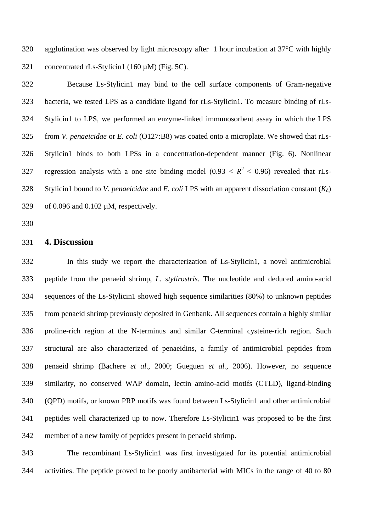agglutination was observed by light microscopy after 1 hour incubation at 37°C with highly concentrated rLs-Stylicin1 (160 µM) (Fig. 5C). 320 321

322 323 324 325 326 327 328 329 Because Ls-Stylicin1 may bind to the cell surface components of Gram-negative bacteria, we tested LPS as a candidate ligand for rLs-Stylicin1. To measure binding of rLs-Stylicin1 to LPS, we performed an enzyme-linked immunosorbent assay in which the LPS from *V. penaeicidae* or *E. coli* (O127:B8) was coated onto a microplate. We showed that rLs-Stylicin1 binds to both LPSs in a concentration-dependent manner (Fig. 6). Nonlinear regression analysis with a one site binding model (0.93  $\lt R^2$   $\lt$  0.96) revealed that rLs-Stylicin1 bound to *V. penaeicidae* and *E. coli* LPS with an apparent dissociation constant  $(K_d)$ of 0.096 and 0.102 µM, respectively.

330

#### 331 **4. Discussion**

332 333 334 335 336 337 338 339 340 341 342 In this study we report the characterization of Ls-Stylicin1, a novel antimicrobial peptide from the penaeid shrimp, *L. stylirostris*. The nucleotide and deduced amino-acid sequences of the Ls-Stylicin1 showed high sequence similarities (80%) to unknown peptides from penaeid shrimp previously deposited in Genbank. All sequences contain a highly similar proline-rich region at the N-terminus and similar C-terminal cysteine-rich region. Such structural are also characterized of penaeidins, a family of antimicrobial peptides from penaeid shrimp (Bachere *et al*., 2000; Gueguen *et al.*, 2006). However, no sequence similarity, no conserved WAP domain, lectin amino-acid motifs (CTLD), ligand-binding (QPD) motifs, or known PRP motifs was found between Ls-Stylicin1 and other antimicrobial peptides well characterized up to now. Therefore Ls-Stylicin1 was proposed to be the first member of a new family of peptides present in penaeid shrimp.

343 344 The recombinant Ls-Stylicin1 was first investigated for its potential antimicrobial activities. The peptide proved to be poorly antibacterial with MICs in the range of 40 to 80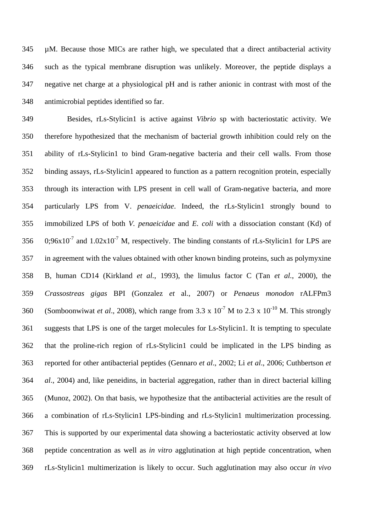µM. Because those MICs are rather high, we speculated that a direct antibacterial activity such as the typical membrane disruption was unlikely. Moreover, the peptide displays a negative net charge at a physiological pH and is rather anionic in contrast with most of the antimicrobial peptides identified so far. 345 346 347 348

349 350 351 352 353 354 355 356 357 358 359 360 361 362 363 364 365 366 367 368 369 Besides, rLs-Stylicin1 is active against *Vibrio* sp with bacteriostatic activity*.* We therefore hypothesized that the mechanism of bacterial growth inhibition could rely on the ability of rLs-Stylicin1 to bind Gram-negative bacteria and their cell walls. From those binding assays, rLs-Stylicin1 appeared to function as a pattern recognition protein, especially through its interaction with LPS present in cell wall of Gram-negative bacteria, and more particularly LPS from V. *penaeicidae*. Indeed, the rLs-Stylicin1 strongly bound to immobilized LPS of both *V. penaeicidae* and *E. coli* with a dissociation constant (Kd) of  $0.96x10^{-7}$  and  $1.02x10^{-7}$  M, respectively. The binding constants of rLs-Stylicin1 for LPS are in agreement with the values obtained with other known binding proteins, such as polymyxine B*,* human CD14 (Kirkland *et al.*, 1993), the limulus factor C (Tan *et al.*, 2000), the *Crassostreas gigas* BPI (Gonzalez *et* al., 2007) or *Penaeus monodon* rALFPm3 (Somboonwiwat *et al.*, 2008), which range from  $3.3 \times 10^{-7}$  M to  $2.3 \times 10^{-10}$  M. This strongly suggests that LPS is one of the target molecules for Ls-Stylicin1. It is tempting to speculate that the proline-rich region of rLs-Stylicin1 could be implicated in the LPS binding as reported for other antibacterial peptides (Gennaro *et al*., 2002; Li *et al*., 2006; Cuthbertson *et al*., 2004) and, like peneidins, in bacterial aggregation, rather than in direct bacterial killing (Munoz, 2002). On that basis, we hypothesize that the antibacterial activities are the result of a combination of rLs-Stylicin1 LPS-binding and rLs-Stylicin1 multimerization processing. This is supported by our experimental data showing a bacteriostatic activity observed at low peptide concentration as well as *in vitro* agglutination at high peptide concentration, when rLs-Stylicin1 multimerization is likely to occur. Such agglutination may also occur *in vivo*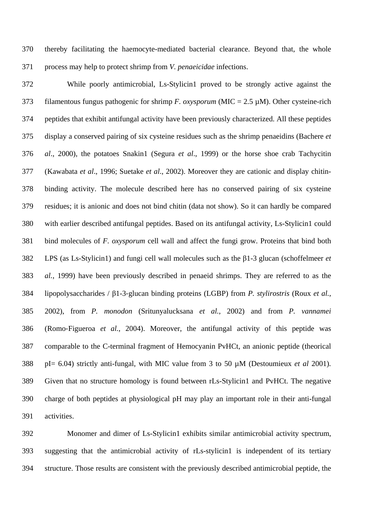thereby facilitating the haemocyte-mediated bacterial clearance. Beyond that, the whole process may help to protect shrimp from *V. penaeicidae* infections. 370 371

372 373 374 375 376 377 378 379 380 381 382 383 384 385 386 387 388 389 390 391 While poorly antimicrobial, Ls-Stylicin1 proved to be strongly active against the filamentous fungus pathogenic for shrimp *F. oxysporum* (MIC =  $2.5 \mu$ M). Other cysteine-rich peptides that exhibit antifungal activity have been previously characterized. All these peptides display a conserved pairing of six cysteine residues such as the shrimp penaeidins (Bachere *et al*., 2000), the potatoes Snakin1 (Segura *et al*., 1999) or the horse shoe crab Tachycitin (Kawabata *et al*., 1996; Suetake *et al*., 2002). Moreover they are cationic and display chitinbinding activity. The molecule described here has no conserved pairing of six cysteine residues; it is anionic and does not bind chitin (data not show). So it can hardly be compared with earlier described antifungal peptides. Based on its antifungal activity, Ls-Stylicin1 could bind molecules of *F. oxysporum* cell wall and affect the fungi grow. Proteins that bind both LPS (as Ls-Stylicin1) and fungi cell wall molecules such as the β1-3 glucan (schoffelmeer *et al.*, 1999) have been previously described in penaeid shrimps. They are referred to as the lipopolysaccharides / β1-3‐glucan binding proteins (LGBP) from *P. stylirostris* (Roux *et al.*, 2002), from *P. monodon* (Sritunyalucksana *et al.*, 2002) and from *P. vannamei*  (Romo‐Figueroa *et al.*, 2004). Moreover, the antifungal activity of this peptide was comparable to the C-terminal fragment of Hemocyanin PvHCt, an anionic peptide (theorical pI= 6.04) strictly anti-fungal, with MIC value from 3 to 50 µM (Destoumieux *et al* 2001)*.*  Given that no structure homology is found between rLs-Stylicin1 and PvHCt. The negative charge of both peptides at physiological pH may play an important role in their anti-fungal activities.

392 393 394 Monomer and dimer of Ls-Stylicin1 exhibits similar antimicrobial activity spectrum, suggesting that the antimicrobial activity of rLs-stylicin1 is independent of its tertiary structure. Those results are consistent with the previously described antimicrobial peptide, the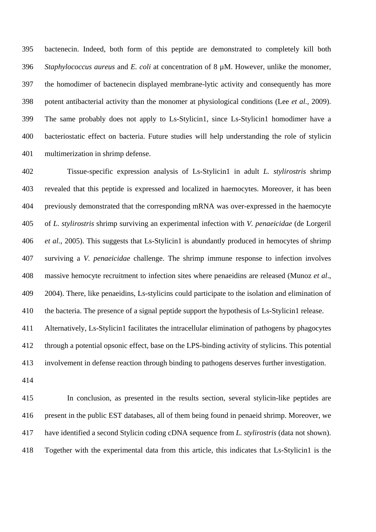bactenecin. Indeed, both form of this peptide are demonstrated to completely kill both *Staphylococcus aureus* and *E. coli* at concentration of 8  $\mu$ M. However, unlike the monomer, the homodimer of bactenecin displayed membrane-lytic activity and consequently has more potent antibacterial activity than the monomer at physiological conditions (Lee *et al.,* 2009). The same probably does not apply to Ls-Stylicin1, since Ls-Stylicin1 homodimer have a bacteriostatic effect on bacteria. Future studies will help understanding the role of stylicin multimerization in shrimp defense. 395 396 397 398 399 400 401

402 403 404 405 406 407 408 409 410 Tissue-specific expression analysis of Ls-Stylicin1 in adult *L. stylirostris* shrimp revealed that this peptide is expressed and localized in haemocytes. Moreover, it has been previously demonstrated that the corresponding mRNA was over-expressed in the haemocyte of *L. stylirostris* shrimp surviving an experimental infection with *V. penaeicidae* (de Lorgeril *et al.*, 2005). This suggests that Ls-Stylicin1 is abundantly produced in hemocytes of shrimp surviving a *V. penaeicidae* challenge. The shrimp immune response to infection involves massive hemocyte recruitment to infection sites where penaeidins are released (Munoz *et al*., 2004). There, like penaeidins, Ls-stylicins could participate to the isolation and elimination of the bacteria. The presence of a signal peptide support the hypothesis of Ls-Stylicin1 release.

411 412 413 Alternatively, Ls-Stylicin1 facilitates the intracellular elimination of pathogens by phagocytes through a potential opsonic effect, base on the LPS-binding activity of stylicins. This potential involvement in defense reaction through binding to pathogens deserves further investigation.

414

415 416 417 418 In conclusion, as presented in the results section, several stylicin-like peptides are present in the public EST databases, all of them being found in penaeid shrimp. Moreover, we have identified a second Stylicin coding cDNA sequence from *L. stylirostris* (data not shown). Together with the experimental data from this article, this indicates that Ls-Stylicin1 is the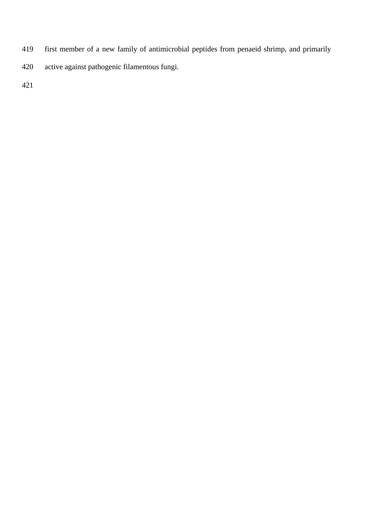- first member of a new family of antimicrobial peptides from penaeid shrimp, and primarily 419
- active against pathogenic filamentous fungi. 420

421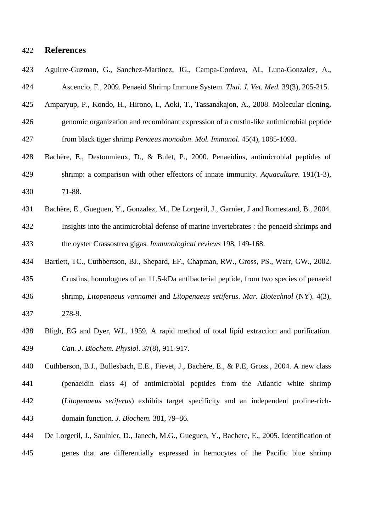### 422 **References**

- 423 424 Aguirre-Guzman, G., Sanchez-Martinez, JG., Campa-Cordova, AI., Luna-Gonzalez, A., Ascencio, F., 2009. [Penaeid Shrimp Immune System.](http://apps.isiknowledge.com/full_record.do?product=UA&search_mode=GeneralSearch&qid=7&SID=X2H6oDJkIeJg2@DMJk7&page=1&doc=1&colname=WOS) *Thai. J. Vet. Med.* 39(3), 205-215.
- 425 Amparyup, P., Kondo, H., Hirono, I., Aoki, T., Tassanakajon, A., 2008. Molecular cloning,
- 426 427 genomic organization and recombinant expression of a crustin-like antimicrobial peptide from black tiger shrimp *Penaeus monodon*. *Mol. Immunol*. 45(4), 1085-1093.
- Bachère, E., Destoumieux, D., & Bulet, P., 2000. Penaeidins, antimicrobial peptides of shrimp: a comparison with other effectors of innate immunity. *Aquaculture.* 191(1-3), 71-88. 428 429 430
- 431 432 433 Bachère, E., Gueguen, Y., Gonzalez, M., De Lorgeril, J., Garnier, J and Romestand, B., 2004. Insights into the antimicrobial defense of marine invertebrates : the penaeid shrimps and the oyster Crassostrea gigas. *Immunological reviews* 198, 149-168.
- 434 Bartlett, TC., Cuthbertson, BJ., Shepard, EF., Chapman, RW., Gross, PS., Warr, GW., 2002.
- 435 Crustins, homologues of an 11.5-kDa antibacterial peptide, from two species of penaeid
- 436 shrimp, *Litopenaeus vannamei* and *Litopenaeus setiferus*. *Mar. Biotechnol* (NY). 4(3),
- 437 278-9.
- 438 439 Bligh, EG and Dyer, WJ., 1959. A rapid method of total lipid extraction and purification. *Can. J. Biochem. Physiol*. 37(8), 911-917.
- 440 441 442 443 Cuthberson, B.J., Bullesbach, E.E., Fievet, J., Bachère, E., & P.E, Gross., 2004. A new class (penaeidin class 4) of antimicrobial peptides from the Atlantic white shrimp (*Litopenaeus setiferus*) exhibits target specificity and an independent proline-richdomain function. *J. Biochem.* 381, 79–86.
- 444 445 De Lorgeril, J., Saulnier, D., Janech, M.G., Gueguen, Y., Bachere, E., 2005. Identification of genes that are differentially expressed in hemocytes of the Pacific blue shrimp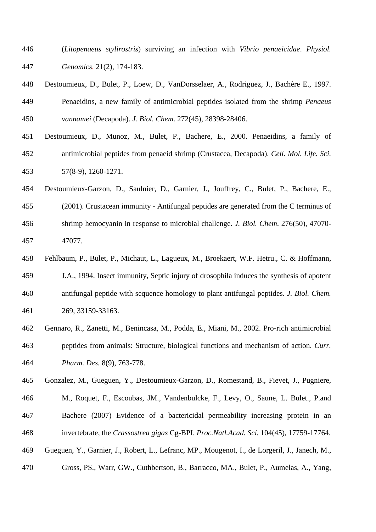- (*Litopenaeus stylirostris*) surviving an infection with *Vibrio penaeicidae*. *Physiol. Genomics.* 21(2), 174-183. 446 447
- 448 449 450 Destoumieux, D., Bulet, P., Loew, D., VanDorsselaer, A., Rodriguez, J., Bachère E., 1997. Penaeidins, a new family of antimicrobial peptides isolated from the shrimp *Penaeus vannamei* (Decapoda). *J. Biol. Chem*. 272(45), 28398-28406.
- 451 452 453 Destoumieux, D., Munoz, M., Bulet, P., Bachere, E., 2000. Penaeidins, a family of antimicrobial peptides from penaeid shrimp (Crustacea, Decapoda). *Cell. Mol. Life. Sci.* 57(8-9), 1260-1271.
- 454 Destoumieux-Garzon, D., Saulnier, D., Garnier, J., Jouffrey, C., Bulet, P., Bachere, E.,
- 455 (2001). Crustacean immunity - Antifungal peptides are generated from the C terminus of
- 456 457 shrimp hemocyanin in response to microbial challenge. *J. Biol. Chem*. 276(50), 47070- 47077.
- 458 Fehlbaum, P., Bulet, P., Michaut, L., Lagueux, M., Broekaert, W.F. Hetru., C. & Hoffmann,
- 459 460 461 J.A., 1994. Insect immunity, Septic injury of drosophila induces the synthesis of apotent antifungal peptide with sequence homology to plant antifungal peptides. *J. Biol. Chem.* 269, 33159-33163.
- 462 463 464 Gennaro, R., Zanetti, M., Benincasa, M., Podda, E., Miani, M., 2002. Pro-rich antimicrobial peptides from animals: Structure, biological functions and mechanism of action. *Curr. Pharm. Des.* 8(9), 763-778.
- 465 466 467 Gonzalez, M., Gueguen, Y., Destoumieux-Garzon, D., Romestand, B., Fievet, J., Pugniere, M., Roquet, F., Escoubas, JM., Vandenbulcke, F., Levy, O., Saune, L. Bulet., P.and Bachere (2007) Evidence of a bactericidal permeability increasing protein in an
- 468 invertebrate, the *Crassostrea gigas* Cg-BPI. *Proc.Natl.Acad. Sci.* 104(45), 17759-17764.
- 469 Gueguen, Y., Garnier, J., Robert, L., Lefranc, MP., Mougenot, I., de Lorgeril, J., Janech, M.,
- 470 Gross, PS., Warr, GW., Cuthbertson, B., Barracco, MA., Bulet, P., Aumelas, A., Yang,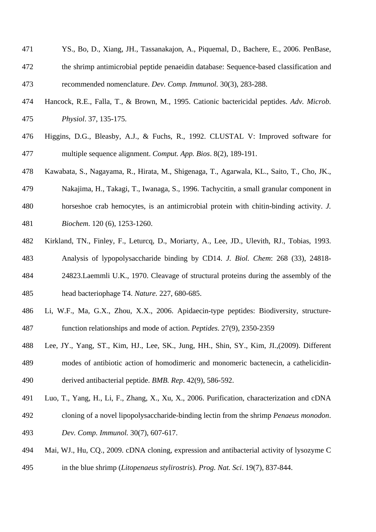- YS., Bo, D., Xiang, JH., Tassanakajon, A., Piquemal, D., Bachere, E., 2006. PenBase, the shrimp antimicrobial peptide penaeidin database: Sequence-based classification and recommended nomenclature. *Dev. Comp. Immunol.* 30(3), 283-288. 471 472 473
- 474 475 Hancock, R.E., Falla, T., & Brown, M., 1995. Cationic bactericidal peptides. *Adv. Microb. Physiol*. 37, 135-175.
- 476 477 Higgins, D.G., Bleasby, A.J., & Fuchs, R., 1992. CLUSTAL V: Improved software for multiple sequence alignment. *Comput. App. Bios*. 8(2), 189-191.
- 478 Kawabata, S., Nagayama, R., Hirata, M., Shigenaga, T., Agarwala, KL., Saito, T., Cho, JK.,
- 479 480 Nakajima, H., Takagi, T., Iwanaga, S., 1996. Tachycitin, a small granular component in horseshoe crab hemocytes, is an antimicrobial protein with chitin-binding activity. *J.*
- 481 *Biochem*. 120 (6), 1253-1260.
- 482 Kirkland, TN., Finley, F., Leturcq, D., Moriarty, A., Lee, JD., Ulevith, RJ., Tobias, 1993.
- 483 484 Analysis of lypopolysaccharide binding by CD14. *J. Biol. Chem*: 268 (33), 24818- 24823.Laemmli U.K., 1970. Cleavage of structural proteins during the assembly of the

485 head bacteriophage T4. *Nature.* 227, 680-685.

- 486 487 Li, W.F., Ma, G.X., Zhou, X.X., 2006. Apidaecin-type peptides: Biodiversity, structurefunction relationships and mode of action. *Peptides.* 27(9), 2350-2359
- 488 489 490 Lee, JY., Yang, ST., Kim, HJ., Lee, SK., Jung, HH., Shin, SY., Kim, JI.,(2009). Different modes of antibiotic action of homodimeric and monomeric bactenecin, a cathelicidinderived antibacterial peptide. *BMB. Rep*. 42(9), 586-592.
- 491 Luo, T., Yang, H., Li, F., Zhang, X., Xu, X., 2006. Purification, characterization and cDNA
- 492 493 cloning of a novel lipopolysaccharide-binding lectin from the shrimp *Penaeus monodon*. *Dev. Comp. Immunol.* 30(7), 607-617.
- 494 Mai, WJ., Hu, CQ., 2009. cDNA cloning, expression and antibacterial activity of lysozyme C
- 495 in the blue shrimp (*Litopenaeus stylirostris*). *Prog. Nat. Sci*. 19(7), 837-844.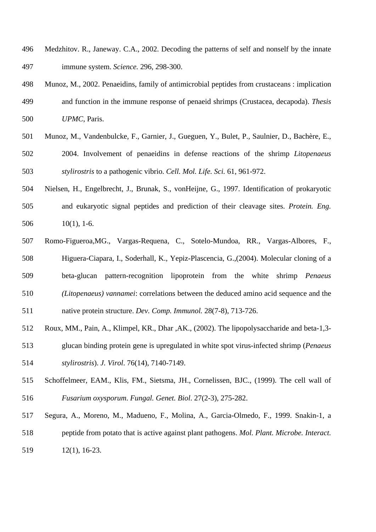- Medzhitov. R., Janeway. C.A., 2002. Decoding the patterns of self and nonself by the innate immune system. *Science.* 296, 298-300. 496 497
- 498 499 500 Munoz, M., 2002. Penaeidins, family of antimicrobial peptides from crustaceans : implication and function in the immune response of penaeid shrimps (Crustacea, decapoda). *Thesis UPMC*, Paris.
- 501 502 503 Munoz, M., Vandenbulcke, F., Garnier, J., Gueguen, Y., Bulet, P., Saulnier, D., Bachère, E., 2004. Involvement of penaeidins in defense reactions of the shrimp *Litopenaeus stylirostris* to a pathogenic vibrio. *Cell. Mol. Life. Sci.* 61, 961-972.
- 504 505 506 Nielsen, H., Engelbrecht, J., Brunak, S., vonHeijne, G., 1997. Identification of prokaryotic and eukaryotic signal peptides and prediction of their cleavage sites. *Protein. Eng.*  $10(1)$ , 1-6.
- 507 508 509 510 Romo-Figueroa,MG., Vargas-Requena, C., Sotelo-Mundoa, RR., Vargas-Albores, F., Higuera-Ciapara, I., Soderhall, K., Yepiz-Plascencia, G.,(2004). Molecular cloning of a beta-glucan pattern-recognition lipoprotein from the white shrimp *Penaeus (Litopenaeus) vannamei*: correlations between the deduced amino acid sequence and the
- 511 native protein structure. *Dev. Comp. Immunol.* 28(7-8), 713-726.
- 512 513 514 Roux, MM., Pain, A., Klimpel, KR., Dhar ,AK., (2002). The lipopolysaccharide and beta-1,3 glucan binding protein gene is upregulated in white spot virus-infected shrimp (*Penaeus stylirostris*). *J. Virol*. 76(14), 7140-7149.
- 515 516 Schoffelmeer, EAM., Klis, FM., Sietsma, JH., Cornelissen, BJC., (1999). The cell wall of *Fusarium oxysporum*. *Fungal. Genet. Biol*. 27(2-3), 275-282.
- 517 518 Segura, A., Moreno, M., Madueno, F., Molina, A., Garcia-Olmedo, F., 1999. Snakin-1, a peptide from potato that is active against plant pathogens. *Mol. Plant. Microbe. Interact.*
- 519 12(1), 16-23.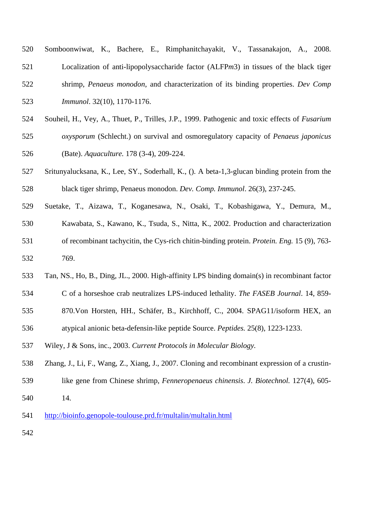| 520 | Somboonwiwat, K., Bachere, E., Rimphanitchayakit, V., Tassanakajon, A., 2008.                         |  |  |  |  |  |  |  |  |  |  |
|-----|-------------------------------------------------------------------------------------------------------|--|--|--|--|--|--|--|--|--|--|
| 521 | Localization of anti-lipopolysaccharide factor (ALFPm3) in tissues of the black tiger                 |  |  |  |  |  |  |  |  |  |  |
| 522 | shrimp, Penaeus monodon, and characterization of its binding properties. Dev Comp                     |  |  |  |  |  |  |  |  |  |  |
| 523 | <i>Immunol.</i> 32(10), 1170-1176.                                                                    |  |  |  |  |  |  |  |  |  |  |
| 524 | Souheil, H., Vey, A., Thuet, P., Trilles, J.P., 1999. Pathogenic and toxic effects of <i>Fusarium</i> |  |  |  |  |  |  |  |  |  |  |
| 525 | oxysporum (Schlecht.) on survival and osmoregulatory capacity of Penaeus japonicus                    |  |  |  |  |  |  |  |  |  |  |
| 526 | (Bate). Aquaculture. 178 (3-4), 209-224.                                                              |  |  |  |  |  |  |  |  |  |  |
| 527 | Sritunyalucksana, K., Lee, SY., Soderhall, K., (). A beta-1,3-glucan binding protein from the         |  |  |  |  |  |  |  |  |  |  |
| 528 | black tiger shrimp, Penaeus monodon. Dev. Comp. Immunol. 26(3), 237-245.                              |  |  |  |  |  |  |  |  |  |  |
| 529 | Suetake, T., Aizawa, T., Koganesawa, N., Osaki, T., Kobashigawa, Y., Demura, M.,                      |  |  |  |  |  |  |  |  |  |  |
| 530 | Kawabata, S., Kawano, K., Tsuda, S., Nitta, K., 2002. Production and characterization                 |  |  |  |  |  |  |  |  |  |  |
| 531 | of recombinant tachycitin, the Cys-rich chitin-binding protein. Protein. Eng. 15 (9), 763-            |  |  |  |  |  |  |  |  |  |  |
| 532 | 769.                                                                                                  |  |  |  |  |  |  |  |  |  |  |
| 533 | Tan, NS., Ho, B., Ding, JL., 2000. High-affinity LPS binding domain(s) in recombinant factor          |  |  |  |  |  |  |  |  |  |  |
| 534 | C of a horseshoe crab neutralizes LPS-induced lethality. The FASEB Journal. 14, 859-                  |  |  |  |  |  |  |  |  |  |  |
| 535 | 870. Von Horsten, HH., Schäfer, B., Kirchhoff, C., 2004. SPAG11/isoform HEX, an                       |  |  |  |  |  |  |  |  |  |  |
| 536 | atypical anionic beta-defensin-like peptide Source. Peptides. 25(8), 1223-1233.                       |  |  |  |  |  |  |  |  |  |  |
| 537 | Wiley, J & Sons, inc., 2003. Current Protocols in Molecular Biology.                                  |  |  |  |  |  |  |  |  |  |  |
| 538 | Zhang, J., Li, F., Wang, Z., Xiang, J., 2007. Cloning and recombinant expression of a crustin-        |  |  |  |  |  |  |  |  |  |  |
| 539 | like gene from Chinese shrimp, Fenneropenaeus chinensis. J. Biotechnol. 127(4), 605-                  |  |  |  |  |  |  |  |  |  |  |
| 540 | 14.                                                                                                   |  |  |  |  |  |  |  |  |  |  |
| 541 | http://bioinfo.genopole-toulouse.prd.fr/multalin/multalin.html                                        |  |  |  |  |  |  |  |  |  |  |

542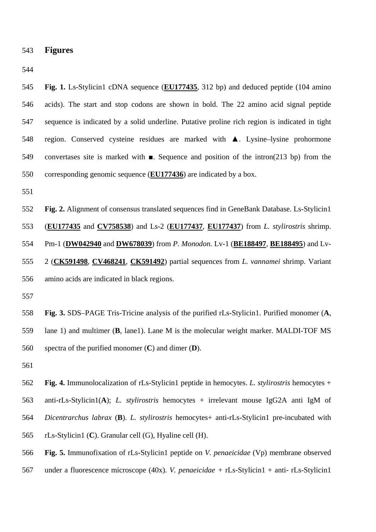543 **Figures** 

544

**Fig. 1.** Ls-Stylicin1 cDNA sequence (**EU177435**, 312 bp) and deduced peptide (104 amino acids). The start and stop codons are shown in bold. The 22 amino acid signal peptide sequence is indicated by a solid underline. Putative proline rich region is indicated in tight region. Conserved cysteine residues are marked with ▲. Lysine–lysine prohormone convertases site is marked with  $\blacksquare$ . Sequence and position of the intron(213 bp) from the 550 corresponding genomic sequence (**EU177436**) are indicated by a box. 545 546 547 548 549

551

552 **Fig. 2.** Alignment of consensus translated sequences find in GeneBank Database. Ls-Stylicin1 (**EU177435** and **CV758538**) and Ls-2 (**EU177437**, **EU177437**) from *L. stylirostris* shrimp. Pm-1 ( **DW042940** and **DW678039**) from *P. Monodon.* Lv-1 (**BE188497**, **BE188495**) and Lv-553 2 ( **CK591498**, **CV468241**, **CK591492**) partial sequences from *L. vannamei* shrimp. Variant 554 amino acids are indicated in black regions. 555 556

557

558 559 560 **Fig. 3.** SDS–PAGE Tris-Tricine analysis of the purified rLs-Stylicin1. Purified monomer (**A**, lane 1) and multimer (**B**, lane1). Lane M is the molecular weight marker. MALDI-TOF MS spectra of the purified monomer (**C**) and dimer (**D**).

561

562 563 564 565 **Fig. 4.** Immunolocalization of rLs-Stylicin1 peptide in hemocytes. *L. stylirostris* hemocytes + anti-rLs-Stylicin1(**A**); *L. stylirostris* hemocytes + irrelevant mouse IgG2A anti IgM of *Dicentrarchus labrax* (**B**). *L. stylirostris* hemocytes+ anti-rLs-Stylicin1 pre-incubated with rLs-Stylicin1 (**C**). Granular cell (G), Hyaline cell (H).

566 **Fig. 5.** Immunofixation of rLs-Stylicin1 peptide on *V. penaeicidae* (Vp) membrane observed

567 under a fluorescence microscope (40x). *V. penaeicidae* + rLs-Stylicin1 + anti- rLs-Stylicin1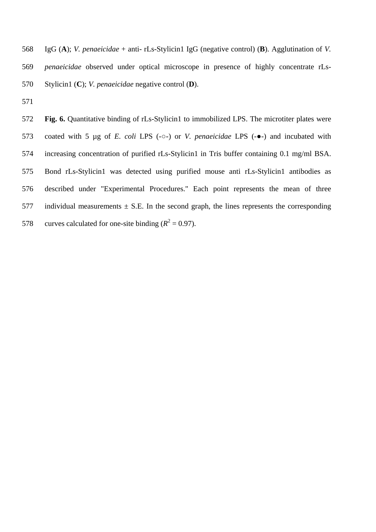IgG (**A**); *V. penaeicidae* + anti- rLs-Stylicin1 IgG (negative control) (**B**). Agglutination of *V. penaeicidae* observed under optical microscope in presence of highly concentrate rLs-Stylicin1 (**C**); *V. penaeicidae* negative control (**D**). 568 569 570

571

572 573 574 575 576 577 578 Fig. 6. Quantitative binding of rLs-Stylicin1 to immobilized LPS. The microtiter plates were coated with 5 µg of *E. coli* LPS (-○-) or *V. penaeicidae* LPS (-●-) and incubated with increasing concentration of purified rLs-Stylicin1 in Tris buffer containing 0.1 mg/ml BSA. Bond rLs-Stylicin1 was detected using purified mouse anti rLs-Stylicin1 antibodies as described under "Experimental Procedures." Each point represents the mean of three individual measurements  $\pm$  S.E. In the second graph, the lines represents the corresponding curves calculated for one-site binding  $(R^2 = 0.97)$ .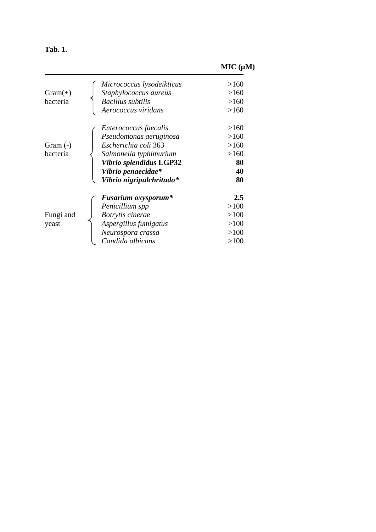| Ш<br>п |
|--------|
|--------|

# **MIC (µM)**

| $Gram(+)$<br>bacteria  | Micrococcus lysodeikticus<br>Staphylococcus aureus<br><b>Bacillus subtilis</b><br>Aerococcus viridans                                                                          | >160<br>>160<br>>160<br>>160                   |
|------------------------|--------------------------------------------------------------------------------------------------------------------------------------------------------------------------------|------------------------------------------------|
| Gram $(-)$<br>bacteria | Enterococcus faecalis<br>Pseudomonas aeruginosa<br>Escherichia coli 363<br>Salmonella typhimurium<br>Vibrio splendidus LGP32<br>Vibrio penaecidae*<br>Vibrio nigripulchritudo* | >160<br>>160<br>>160<br>>160<br>80<br>40<br>80 |
| Fungi and<br>yeast     | <b>Fusarium oxysporum*</b><br>Penicillium spp<br>Botrytis cinerae<br>Aspergillus fumigatus<br>Neurospora crassa<br>Candida albicans                                            | 2.5<br>>100<br>>100<br>>100<br>>100<br>>100    |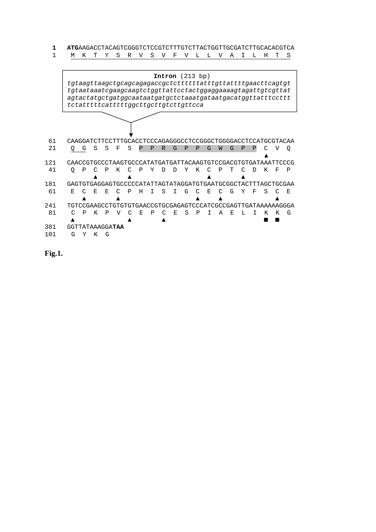**1 ATG**AAGACCTACAGTCGGGTCTCCGTCTTTGTCTTACTGGTTGCGATCTTGCACACGTCA<br>1 M K T Y S R V S V F V L L V A I L H T S M K T Y S R V S V F V L L V A I L H T S

|            |                                                              |   |    |    |   | tgtaagttaagctgcagcagagaccgctcttttttatttgttattttgaacttcagtgt<br>tgtaataaatcgaagcaagtctggttattcctactggaggaaaagtagattgtcgttat<br>agtactatgctgatggcaataatgatgctctaaatgataatgacatggttatttccttt<br>tctatttttcatttttggcttgcttgtcttgttcca |    |              |              |    |              | <b>Intron</b> $(213 bp)$ |    |   |    |   |              |   |    |    |
|------------|--------------------------------------------------------------|---|----|----|---|-----------------------------------------------------------------------------------------------------------------------------------------------------------------------------------------------------------------------------------|----|--------------|--------------|----|--------------|--------------------------|----|---|----|---|--------------|---|----|----|
|            |                                                              |   |    |    |   |                                                                                                                                                                                                                                   |    |              |              |    |              |                          |    |   |    |   |              |   |    |    |
| 61         |                                                              |   |    |    |   | CAAGGATCTTCCTTTGCACCTCCCAGAGGGCCTCCGGGCTGGGAACCTCCATGCGTACAA                                                                                                                                                                      |    |              |              |    |              |                          |    |   |    |   |              |   |    |    |
| 21         | Q                                                            | G | S  | S  | F | S                                                                                                                                                                                                                                 | P  | $\mathbf{p}$ | $\mathbb{R}$ | G  | $\mathbf{p}$ | P                        | G  | W | G  | P | $\mathbf{P}$ |   | ٦T | Q  |
| 121        |                                                              |   |    |    |   | CAACCGTGCCCTAAGTGCCCATATGATGATTACAAGTGTCCGACGTGTGATAAATTCCCG                                                                                                                                                                      |    |              |              |    |              |                          |    |   |    |   |              |   |    |    |
| 41         | O                                                            | Ρ |    | P  | К |                                                                                                                                                                                                                                   | P  | Y            |              | D  | Y            | K                        |    | Р |    |   |              | K | F  | P  |
| 181        | GAGTGTGAGGAGTGCCCCATATTAGTATAGGATGTGAATGCGGCTACTTTAGCTGCGAA  |   |    |    |   |                                                                                                                                                                                                                                   |    |              |              |    |              |                          |    |   |    |   |              |   |    |    |
| 61         | F.                                                           |   | E. | F. |   | D                                                                                                                                                                                                                                 | Η  |              | S            | Т  | G            |                          | F. |   | G  | Y | F            | S |    | F. |
| 2.41       | TGTCCGAAGCCTGTGTGTGAACCGTGCGAGAGTCCCATCGCCGAGTTGATAAAAAAGGGA |   |    |    |   |                                                                                                                                                                                                                                   |    |              |              |    |              |                          |    |   |    |   |              |   |    |    |
| 81         |                                                              | D | K  | P  |   |                                                                                                                                                                                                                                   | E. | P            |              | E. | S            | P                        |    |   | F. |   |              | K | K  | G  |
| 301<br>101 | GGTTATAAAGGA <b>TAA</b><br>G                                 | Y | K  | G  |   |                                                                                                                                                                                                                                   |    |              |              |    |              |                          |    |   |    |   |              |   |    |    |

**Fig.1.**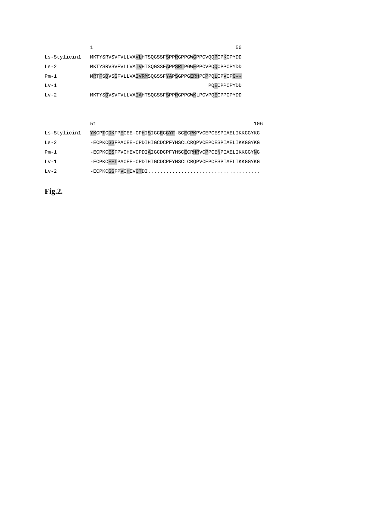|              | 50                                                 |
|--------------|----------------------------------------------------|
| Ls-Stylicin1 | MKTYSRVSVFVLLVAVLHTSQGSSFSPPRGPPGWGPPCVQQPCPKCPYDD |
| $Ls-2$       | MKTYSRVSVFVLLVAIVHTSQGSSFAPPSRLPGWEPPCVPQQCPPCPYDD |
| $Pm-1$       | MRTFSQVSGFVLLVAIVRMSQGSSFYAPSGPPGERHPCPPQLCPVCPG-- |
| $Lv-1$       | POECPPCPYDD                                        |
| $Lv-2$       | MKTYSQVSVFVLLVAIAHTSQGSSFSPPRGPPGWKLPCVPQECPPCPYDD |

|              | 51<br>106                                                |  |
|--------------|----------------------------------------------------------|--|
| Ls-Stylicin1 | YKCPTCDKFPECEE-CPHISIGCECGYF-SCECPKPVCEPCESPIAELIKKGGYKG |  |
| $Ls-2$       | -ECPKCGGFPACEE-CPDIHIGCDCPFYHSCLCROPVCEPCESPIAELIKKGGYKG |  |
| $Pm-1$       | -ECPKCESFPVCHEVCPDIAIGCDCPFYHSCECRHRVCPPCENPIAELIKKGGYNG |  |
| $Lv-1$       | -ECPKCEELPACEE-CPDIHIGCDCPFYHSCLCROPVCEPCESPIAELIKKGGYKG |  |
| $Lv-2$       | $-$ ECPKCGGFPVCHEVCTDI                                   |  |

**Fig.2.**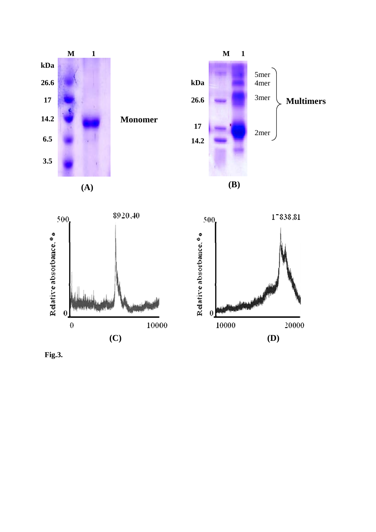

**Monomer** 







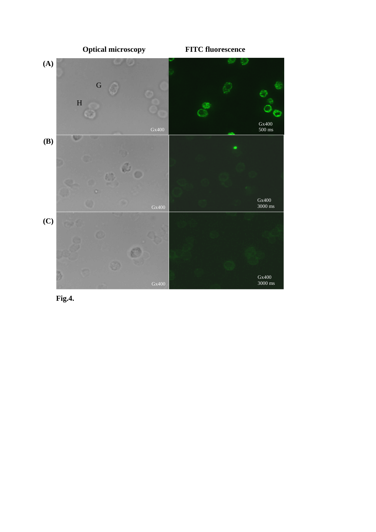

**Fig.4.**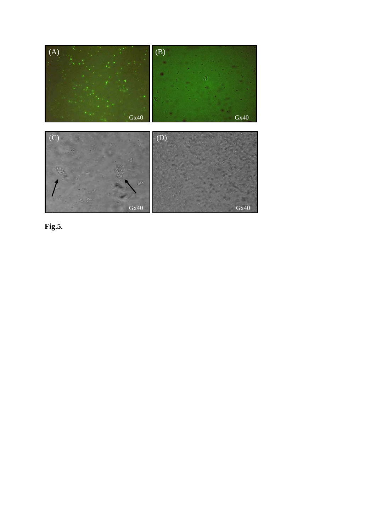

**Fig.5.**